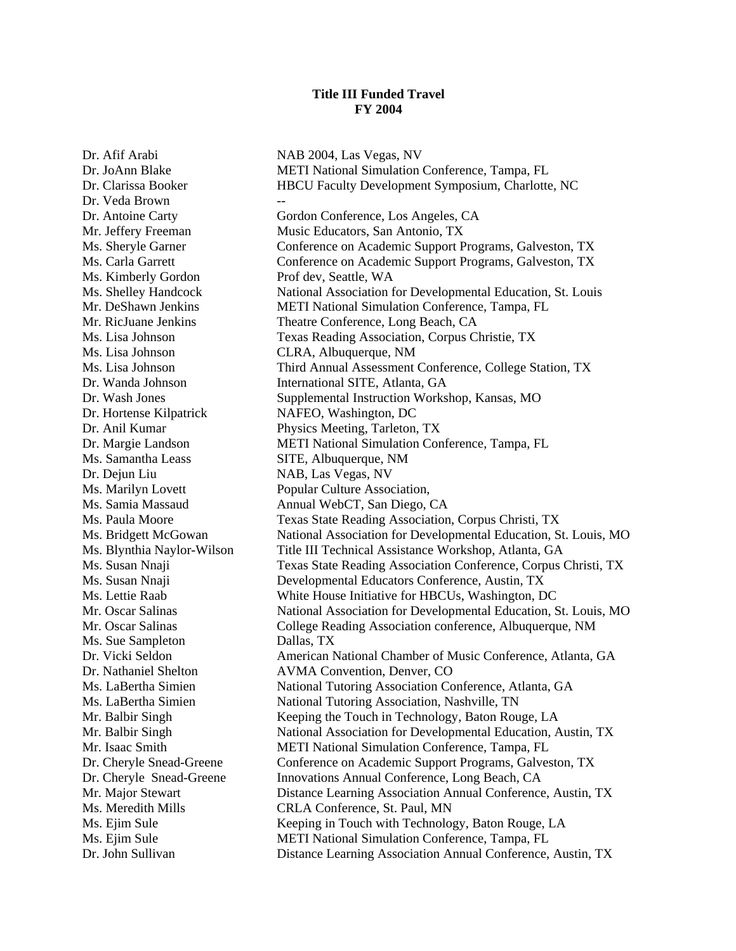## **Title III Funded Travel FY 2004**

Dr. Afif Arabi NAB 2004, Las Vegas, NV Dr. Veda Brown Ms. Kimberly Gordon Prof dev, Seattle, WA Ms. Lisa Johnson CLRA, Albuquerque, NM Dr. Hortense Kilpatrick NAFEO, Washington, DC Ms. Samantha Leass SITE, Albuquerque, NM Dr. Dejun Liu NAB, Las Vegas, NV Ms. Sue Sampleton Dallas, TX

Dr. JoAnn Blake METI National Simulation Conference, Tampa, FL Dr. Clarissa Booker HBCU Faculty Development Symposium, Charlotte, NC Dr. Antoine Carty Gordon Conference, Los Angeles, CA Mr. Jeffery Freeman Music Educators, San Antonio, TX Ms. Sheryle Garner Conference on Academic Support Programs, Galveston, TX Ms. Carla Garrett Conference on Academic Support Programs, Galveston, TX Ms. Shelley Handcock National Association for Developmental Education, St. Louis Mr. DeShawn Jenkins METI National Simulation Conference, Tampa, FL Mr. RicJuane Jenkins Theatre Conference, Long Beach, CA Ms. Lisa Johnson Texas Reading Association, Corpus Christie, TX Ms. Lisa Johnson Third Annual Assessment Conference, College Station, TX Dr. Wanda Johnson International SITE, Atlanta, GA Dr. Wash Jones Supplemental Instruction Workshop, Kansas, MO Dr. Anil Kumar Physics Meeting, Tarleton, TX Dr. Margie Landson METI National Simulation Conference, Tampa, FL Ms. Marilyn Lovett Popular Culture Association, Ms. Samia Massaud Annual WebCT, San Diego, CA Ms. Paula Moore Texas State Reading Association, Corpus Christi, TX Ms. Bridgett McGowan National Association for Developmental Education, St. Louis, MO Ms. Blynthia Naylor-Wilson Title III Technical Assistance Workshop, Atlanta, GA Ms. Susan Nnaji Texas State Reading Association Conference, Corpus Christi, TX Ms. Susan Nnaji Developmental Educators Conference, Austin, TX Ms. Lettie Raab White House Initiative for HBCUs, Washington, DC Mr. Oscar Salinas National Association for Developmental Education, St. Louis, MO Mr. Oscar Salinas College Reading Association conference, Albuquerque, NM Dr. Vicki Seldon American National Chamber of Music Conference, Atlanta, GA Dr. Nathaniel Shelton AVMA Convention, Denver, CO Ms. LaBertha Simien National Tutoring Association Conference, Atlanta, GA Ms. LaBertha Simien National Tutoring Association, Nashville, TN Mr. Balbir Singh Keeping the Touch in Technology, Baton Rouge, LA Mr. Balbir Singh National Association for Developmental Education, Austin, TX Mr. Isaac Smith METI National Simulation Conference, Tampa, FL Dr. Cheryle Snead-Greene Conference on Academic Support Programs, Galveston, TX Dr. Cheryle Snead-Greene Innovations Annual Conference, Long Beach, CA Mr. Major Stewart Distance Learning Association Annual Conference, Austin, TX Ms. Meredith Mills CRLA Conference, St. Paul, MN Ms. Ejim Sule Keeping in Touch with Technology, Baton Rouge, LA Ms. Ejim Sule METI National Simulation Conference, Tampa, FL Dr. John Sullivan Distance Learning Association Annual Conference, Austin, TX